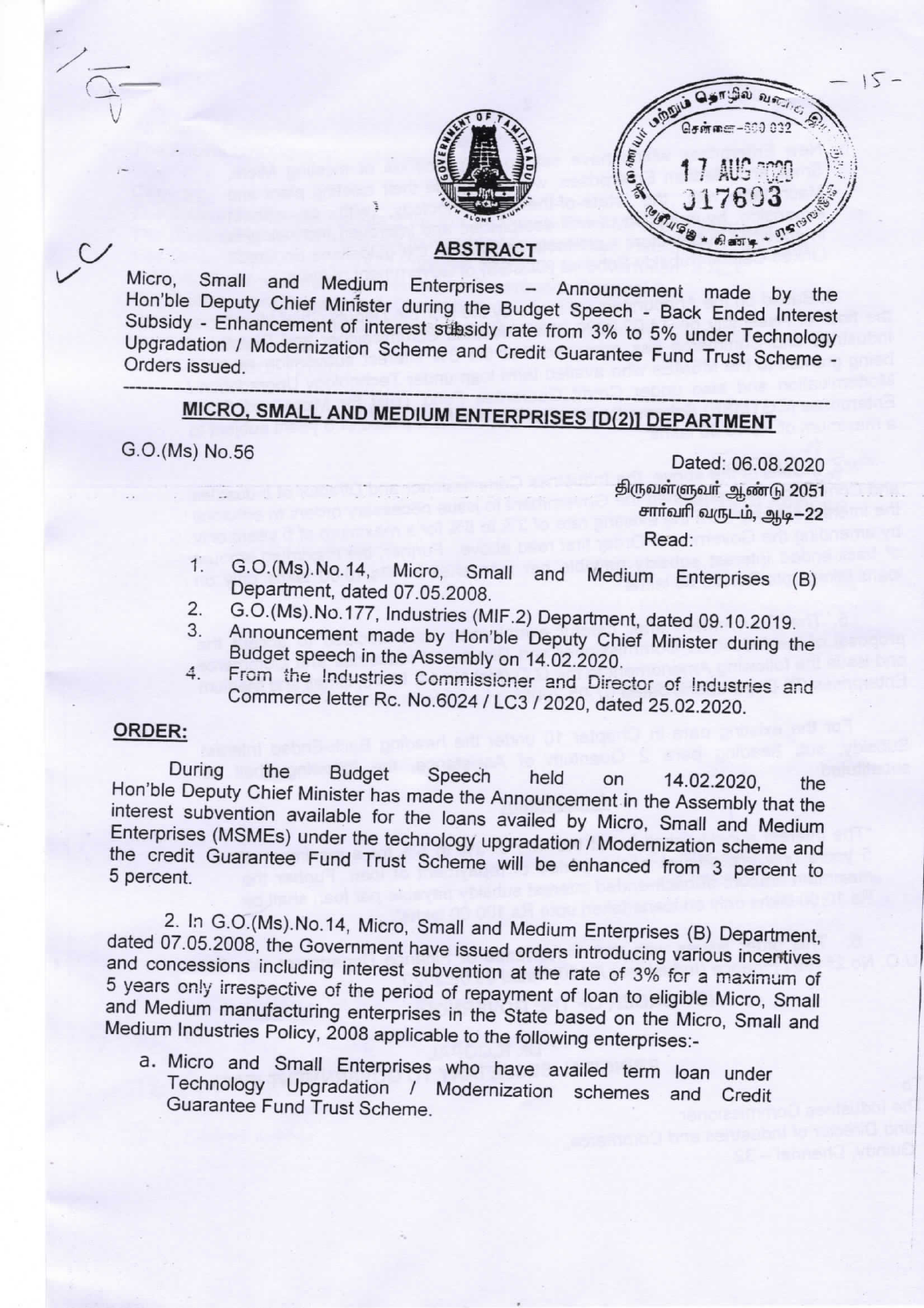



#### **ABSTRACT**

Micro, Small Medium Enterprises - Announcement made by the and Hon'ble Deputy Chief Minister during the Budget Speech - Back Ended Interest Subsidy - Enhancement of interest subsidy rate from 3% to 5% under Technology Upgradation / Modernization Scheme and Credit Guarantee Fund Trust Scheme -Orders issued.

# MICRO, SMALL AND MEDIUM ENTERPRISES [D(2)] DEPARTMENT

G.O.(Ms) No.56

Dated: 06.08.2020 திருவள்ளுவர் ஆண்டு 2051 சார்வரி வருடம், ஆடி-22 Read:

- G.O.(Ms).No.14, Micro, Small  $1.$ and Medium Enterprises (B) Department, dated 07.05.2008.
- $2.$ G.O.(Ms).No.177, Industries (MIF.2) Department, dated 09.10.2019.
- Announcement made by Hon'ble Deputy Chief Minister during the 3. Budget speech in the Assembly on 14.02.2020.
- From the Industries Commissioner and Director of Industries and 4. Commerce letter Rc. No.6024 / LC3 / 2020, dated 25.02.2020.

#### ORDER:

During the **Budget** Speech held on 14.02.2020. the Hon'ble Deputy Chief Minister has made the Announcement in the Assembly that the interest subvention available for the loans availed by Micro, Small and Medium Enterprises (MSMEs) under the technology upgradation / Modernization scheme and the credit Guarantee Fund Trust Scheme will be enhanced from 3 percent to 5 percent.

2. In G.O.(Ms). No. 14, Micro, Small and Medium Enterprises (B) Department, dated 07.05.2008, the Government have issued orders introducing various incentives and concessions including interest subvention at the rate of 3% for a maximum of 5 years only irrespective of the period of repayment of loan to eligible Micro, Small and Medium manufacturing enterprises in the State based on the Micro, Small and Medium Industries Policy, 2008 applicable to the following enterprises:-

a. Micro and Small Enterprises who have availed term loan under Technology Upgradation / Modernization schemes and Credit Guarantee Fund Trust Scheme.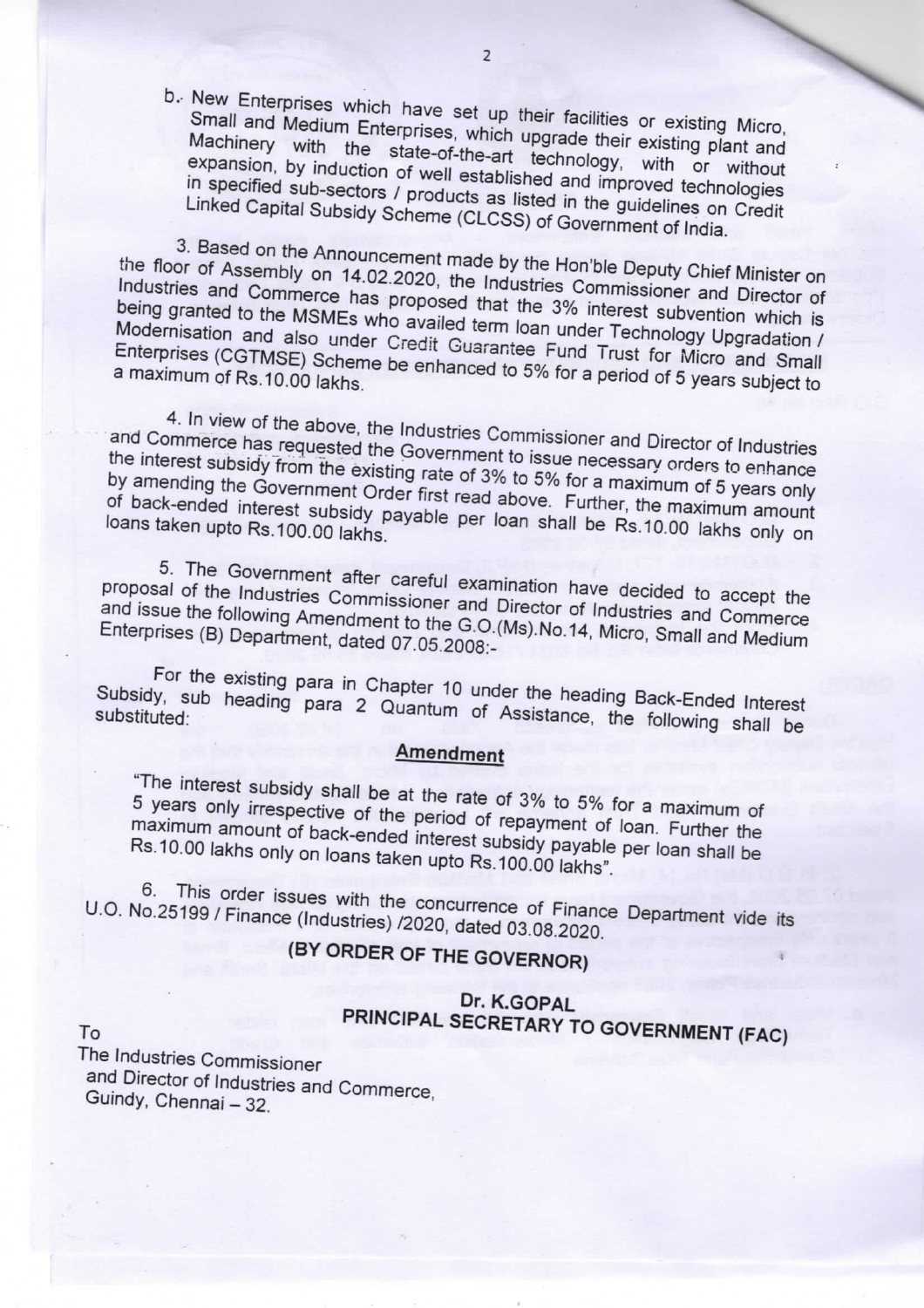b. New Enterprises which have set up their facilities or existing Micro, Small and Medium Enterprises, which upgrade their existing plant and Machinery with the state-of-the-art technology, with or without expansion, by induction of well established and improved technologies in specified sub-sectors / products as listed in the guidelines on Credit Linked Capital Subsidy Scheme (CLCSS) of Government of India.

3. Based on the Announcement made by the Hon'ble Deputy Chief Minister on the floor of Assembly on 14.02.2020, the Industries Commissioner and Director of Industries and Commerce has proposed that the 3% interest subvention which is being granted to the MSMEs who availed term loan under Technology Upgradation / Modernisation and also under Credit Guarantee Fund Trust for Micro and Small Enterprises (CGTMSE) Scheme be enhanced to 5% for a period of 5 years subject to

4. In view of the above, the Industries Commissioner and Director of Industries and Commerce has requested the Government to issue necessary orders to enhance the interest subsidy from the existing rate of 3% to 5% for a maximum of 5 years only by amending the Government Order first read above. Further, the maximum amount of back-ended interest subsidy payable per loan shall be Rs.10.00 lakhs only on loans taken upto Rs.100.00 lakhs.

5. The Government after careful examination have decided to accept the proposal of the Industries Commissioner and Director of Industries and Commerce and issue the following Amendment to the G.O.(Ms).No.14, Micro, Small and Medium Enterprises (B) Department, dated 07.05.2008:-

For the existing para in Chapter 10 under the heading Back-Ended Interest Subsidy, sub heading para 2 Quantum of Assistance, the following shall be

### **Amendment**

"The interest subsidy shall be at the rate of 3% to 5% for a maximum of 5 years only irrespective of the period of repayment of loan. Further the maximum amount of back-ended interest subsidy payable per loan shall be Rs.10.00 lakhs only on loans taken upto Rs.100.00 lakhs".

6. This order issues with the concurrence of Finance Department vide its U.O. No.25199 / Finance (Industries) /2020, dated 03.08.2020.

# (BY ORDER OF THE GOVERNOR)

## Dr. K.GOPAL PRINCIPAL SECRETARY TO GOVERNMENT (FAC)

The Industries Commissioner and Director of Industries and Commerce, Guindy, Chennai - 32.

 $To$